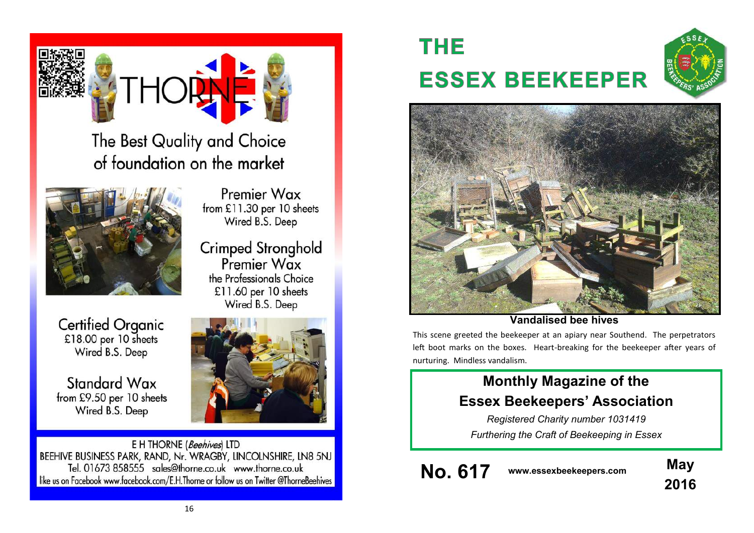

The Best Quality and Choice of foundation on the market



Premier Wax from £11.30 per 10 sheets Wired B.S. Deep

Crimped Stronghold<br>Premier Wax the Professionals Choice £11.60 per 10 sheets Wired B.S. Deep

**Certified Organic** £18.00 per 10 sheets Wired B.S. Deep

Standard Wax from £9.50 per 10 sheets Wired B.S. Deep

E H THORNE (Beehives) LTD BEEHIVE BUSINESS PARK, RAND, Nr. WRAGBY, LINCOLNSHIRE, LN8 5NJ Tel. 01673 858555 sales@thorne.co.uk www.thorne.co.uk like us on Facebook www.facebook.com/E.H.Thorne or follow us on Twitter @ThorneBeehives

# **THE ESSEX BEEKEEPER**





**Vandalised bee hives**

This scene greeted the beekeeper at an apiary near Southend. The perpetrators left boot marks on the boxes. Heart-breaking for the beekeeper after years of nurturing. Mindless vandalism.

## **Monthly Magazine of the Essex Beekeepers' Association**

*Registered Charity number 1031419 Furthering the Craft of Beekeeping in Essex*

**No. 617 www.essexbeekeepers.com May**

**2016**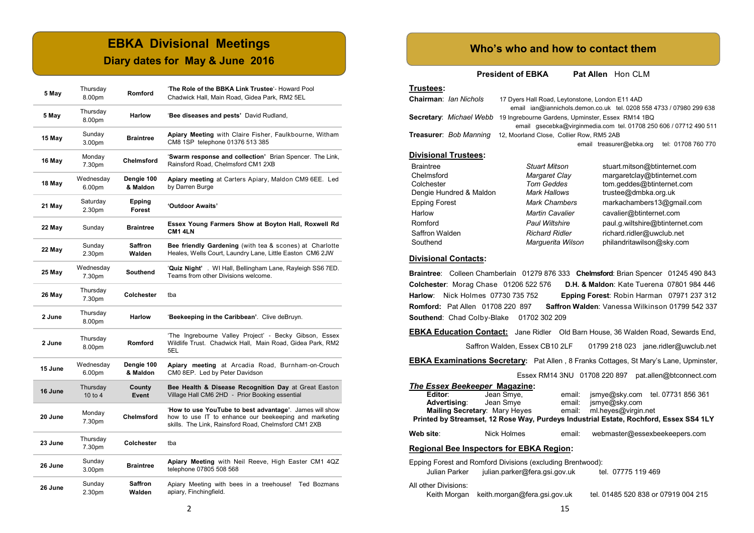## **EBKA Divisional Meetings**

## **Diary dates for May & June 2016**

| 5 May   | Thursday<br>8.00pm           | <b>Romford</b>         | 'The Role of the BBKA Link Trustee'- Howard Pool<br>Chadwick Hall, Main Road, Gidea Park, RM2 5EL                                                                        |  |  |
|---------|------------------------------|------------------------|--------------------------------------------------------------------------------------------------------------------------------------------------------------------------|--|--|
| 5 May   | Thursday<br>8.00pm           | <b>Harlow</b>          | 'Bee diseases and pests' David Rudland,                                                                                                                                  |  |  |
| 15 May  | Sunday<br>3.00 <sub>pm</sub> | <b>Braintree</b>       | Apiary Meeting with Claire Fisher, Faulkbourne, Witham<br>CM8 1SP telephone 01376 513 385                                                                                |  |  |
| 16 May  | Monday<br>7.30pm             | <b>Chelmsford</b>      | 'Swarm response and collection' Brian Spencer. The Link,<br>Rainsford Road. Chelmsford CM1 2XB                                                                           |  |  |
| 18 May  | Wednesday<br>6.00pm          | Dengie 100<br>& Maldon | Apiary meeting at Carters Apiary, Maldon CM9 6EE. Led<br>by Darren Burge                                                                                                 |  |  |
| 21 May  | Saturday<br>2.30pm           | Epping<br>Forest       | 'Outdoor Awaits'                                                                                                                                                         |  |  |
| 22 May  | Sunday                       | <b>Braintree</b>       | Essex Young Farmers Show at Boyton Hall, Roxwell Rd<br><b>CM1 4LN</b>                                                                                                    |  |  |
| 22 May  | Sunday<br>2.30pm             | Saffron<br>Walden      | Bee friendly Gardening (with tea & scones) at Charlotte<br>Heales, Wells Court, Laundry Lane, Little Easton CM6 2JW                                                      |  |  |
| 25 May  | Wednesday<br>7.30pm          | Southend               | 'Quiz Night'. WI Hall, Bellingham Lane, Rayleigh SS6 7ED.<br>Teams from other Divisions welcome.                                                                         |  |  |
| 26 May  | Thursday<br>7.30pm           | Colchester             | tba                                                                                                                                                                      |  |  |
| 2 June  | Thursday<br>8.00pm           | <b>Harlow</b>          | 'Beekeeping in the Caribbean'. Clive deBruyn.                                                                                                                            |  |  |
| 2 June  | Thursday<br>8.00pm           | Romford                | 'The Ingrebourne Valley Project' - Becky Gibson, Essex<br>Wildlife Trust. Chadwick Hall, Main Road, Gidea Park, RM2<br>5EL                                               |  |  |
| 15 June | Wednesday<br>6.00pm          | Dengie 100<br>& Maldon | Apiary meeting at Arcadia Road, Burnham-on-Crouch<br>CM0 8EP. Led by Peter Davidson                                                                                      |  |  |
| 16 June | Thursday<br>10 to $4$        | County<br>Event        | Bee Health & Disease Recognition Day at Great Easton<br>Village Hall CM6 2HD - Prior Booking essential                                                                   |  |  |
| 20 June | Monday<br>7.30pm             | <b>Chelmsford</b>      | 'How to use YouTube to best advantage'. James will show<br>how to use IT to enhance our beekeeping and marketing<br>skills. The Link, Rainsford Road, Chelmsford CM1 2XB |  |  |
| 23 June | Thursday<br>7.30pm           | Colchester             | tba                                                                                                                                                                      |  |  |
| 26 June | Sunday<br>3.00pm             | <b>Braintree</b>       | Apiary Meeting with Neil Reeve, High Easter CM1 4QZ<br>telephone 07805 508 568                                                                                           |  |  |
| 26 June | Sunday<br>2.30pm             | Saffron<br>Walden      | Apiary Meeting with bees in a treehouse!<br>Ted Bozmans<br>apiary, Finchingfield.                                                                                        |  |  |

## **Who's who and how to contact them**

**President of EBKA** Pat Allen Hon CLM

| Trustees: |                              |                                                                                |
|-----------|------------------------------|--------------------------------------------------------------------------------|
|           | <b>Chairman: Jan Nichols</b> | 17 Dyers Hall Road, Leytonstone, London E11 4AD                                |
|           |                              | email ian@iannichols.demon.co.uk tel. 0208 5                                   |
|           |                              | <b>Secretary:</b> Michael Webb 19 Ingrebourne Gardens, Upminster, Essex RM14 1 |

| email ian@iannichols.demon.co.uk tel. 0208 558 4733 / 07980 299 638              |  |  |  |
|----------------------------------------------------------------------------------|--|--|--|
| <b>Secretary:</b> Michael Webb 19 Ingrebourne Gardens, Upminster, Essex RM14 1BQ |  |  |  |
| email qsecebka@virqinmedia.com tel. 01708 250 606 / 07712 490 511                |  |  |  |
| <b>Treasurer: Bob Manning 12, Moorland Close, Collier Row, RM5 2AB</b>           |  |  |  |
| email treasurer@ebka.org tel: 01708 760 770                                      |  |  |  |

#### **Divisional Trustees:**

| Braintree               | <b>Stuart Mitson</b>   | stuart.mitson@btinternet.com    |
|-------------------------|------------------------|---------------------------------|
| Chelmsford              | Margaret Clay          | margaretclay@btinternet.com     |
| Colchester              | <b>Tom Geddes</b>      | tom.geddes@btinternet.com       |
| Dengie Hundred & Maldon | <b>Mark Hallows</b>    | trustee@dmbka.org.uk            |
| Epping Forest           | <b>Mark Chambers</b>   | markachambers13@gmail.com       |
| Harlow                  | <b>Martin Cavalier</b> | cavalier@btinternet.com         |
| Romford                 | <b>Paul Wiltshire</b>  | paul.g.wiltshire@btinternet.com |
| Saffron Walden          | <b>Richard Ridler</b>  | richard.ridler@uwclub.net       |
| Southend                | Marquerita Wilson      | philandritawilson@sky.com       |

#### **Divisional Contacts:**

**Braintree**: Colleen Chamberlain 01279 876 333 **Chelmsford**: Brian Spencer 01245 490 843 **Colchester**: Morag Chase 01206 522 576 **D.H. & Maldon**: Kate Tuerena 07801 984 446 **Harlow**: Nick Holmes 07730 735 752 **Epping Forest**: Robin Harman 07971 237 312 **Romford:** Pat Allen 01708 220 897 **Saffron Walden**: Vanessa Wilkinson 01799 542 337 **Southend**: Chad Colby-Blake 01702 302 209

**EBKA Education Contact:** Jane Ridler Old Barn House, 36 Walden Road, Sewards End,

Saffron Walden, Essex CB10 2LF 01799 218 023 jane.ridler@uwclub.net

**EBKA Examinations Secretary:** Pat Allen , 8 Franks Cottages, St Mary's Lane, Upminster,

Essex RM14 3NU 01708 220 897 pat.allen@btconnect.com

| The Essex Beekeeper Magazine:                                                         |                               |                  |                     |                                     |  |  |  |  |
|---------------------------------------------------------------------------------------|-------------------------------|------------------|---------------------|-------------------------------------|--|--|--|--|
| Editor: <b>Accept</b><br>Advertising:                                                 | Jean Smye,<br>Jean Smye       | email:<br>email: | jsmye@sky.com       | jsmye@sky.com tel. 07731 856 361    |  |  |  |  |
|                                                                                       | Mailing Secretary: Mary Heyes | email:           | ml.heyes@virgin.net |                                     |  |  |  |  |
| Printed by Streamset, 12 Rose Way, Purdeys Industrial Estate, Rochford, Essex SS4 1LY |                               |                  |                     |                                     |  |  |  |  |
| Web site:                                                                             | Nick Holmes                   | email:           |                     | webmaster@essexbeekeepers.com       |  |  |  |  |
| <b>Regional Bee Inspectors for EBKA Region:</b>                                       |                               |                  |                     |                                     |  |  |  |  |
| Epping Forest and Romford Divisions (excluding Brentwood):                            |                               |                  |                     |                                     |  |  |  |  |
| Julian Parker                                                                         | julian.parker@fera.gsi.gov.uk |                  | tel. 07775 119 469  |                                     |  |  |  |  |
| All other Divisions:<br>Keith Morgan                                                  | keith.morgan@fera.gsi.gov.uk  |                  |                     | tel. 01485 520 838 or 07919 004 215 |  |  |  |  |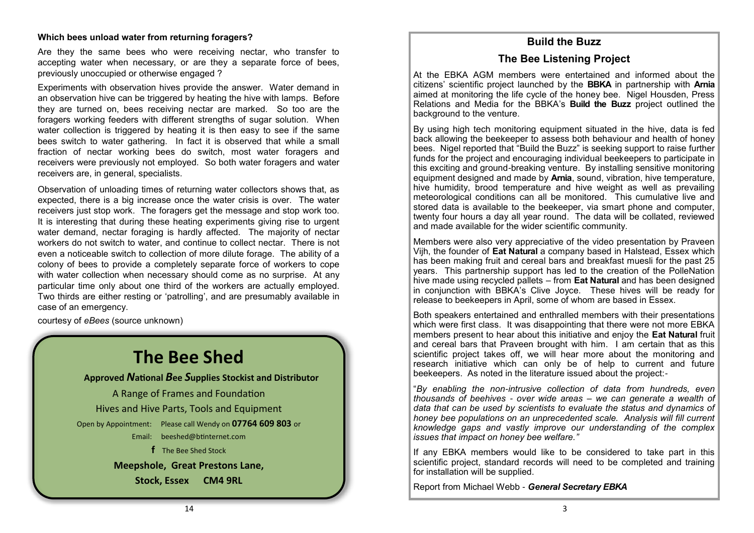#### **Which bees unload water from returning foragers?**

Are they the same bees who were receiving nectar, who transfer to accepting water when necessary, or are they a separate force of bees, previously unoccupied or otherwise engaged ?

Experiments with observation hives provide the answer. Water demand in an observation hive can be triggered by heating the hive with lamps. Before they are turned on, bees receiving nectar are marked. So too are the foragers working feeders with different strengths of sugar solution. When water collection is triggered by heating it is then easy to see if the same bees switch to water gathering. In fact it is observed that while a small fraction of nectar working bees do switch, most water foragers and receivers were previously not employed. So both water foragers and water receivers are, in general, specialists.

Observation of unloading times of returning water collectors shows that, as expected, there is a big increase once the water crisis is over. The water receivers just stop work. The foragers get the message and stop work too. It is interesting that during these heating experiments giving rise to urgent water demand, nectar foraging is hardly affected. The majority of nectar workers do not switch to water, and continue to collect nectar. There is not even a noticeable switch to collection of more dilute forage. The ability of a colony of bees to provide a completely separate force of workers to cope with water collection when necessary should come as no surprise. At any particular time only about one third of the workers are actually employed. Two thirds are either resting or 'patrolling', and are presumably available in case of an emergency.

courtesy of *eBees* (source unknown)

## **The Bee Shed**

**Approved** *N***ational** *B***ee** *S***upplies Stockist and Distributor**

A Range of Frames and Foundation Hives and Hive Parts, Tools and Equipment Open by Appointment: Please call Wendy on **07764 609 803** or Email: [beeshed@btinternet.com](mailto:beeshed@btinternet.com)  **f** The Bee Shed Stock

**Meepshole, Great Prestons Lane,**

**Stock, Essex CM4 9RL**

## **Build the Buzz**

## **The Bee Listening Project**

At the EBKA AGM members were entertained and informed about the citizens' scientific project launched by the **BBKA** in partnership with **Arnia** aimed at monitoring the life cycle of the honey bee. Nigel Housden, Press Relations and Media for the BBKA's **Build the Buzz** project outlined the background to the venture.

By using high tech monitoring equipment situated in the hive, data is fed back allowing the beekeeper to assess both behaviour and health of honey bees. Nigel reported that "Build the Buzz" is seeking support to raise further funds for the project and encouraging individual beekeepers to participate in this exciting and ground-breaking venture. By installing sensitive monitoring equipment designed and made by **Arnia**, sound, vibration, hive temperature, hive humidity, brood temperature and hive weight as well as prevailing meteorological conditions can all be monitored. This cumulative live and stored data is available to the beekeeper, via smart phone and computer, twenty four hours a day all year round. The data will be collated, reviewed and made available for the wider scientific community.

Members were also very appreciative of the video presentation by Praveen Vijh, the founder of **Eat Natural** a company based in Halstead, Essex which has been making fruit and cereal bars and breakfast muesli for the past 25 years. This partnership support has led to the creation of the PolleNation hive made using recycled pallets – from **Eat Natural** and has been designed in conjunction with BBKA's Clive Joyce. These hives will be ready for release to beekeepers in April, some of whom are based in Essex.

Both speakers entertained and enthralled members with their presentations which were first class. It was disappointing that there were not more EBKA members present to hear about this initiative and enjoy the **Eat Natural** fruit and cereal bars that Praveen brought with him. I am certain that as this scientific project takes off, we will hear more about the monitoring and research initiative which can only be of help to current and future beekeepers. As noted in the literature issued about the project:-

"*By enabling the non*-*intrusive collection of data from hundreds, even thousands of beehives* - *over wide areas – we can generate a wealth of data that can be used by scientists to evaluate the status and dynamics of honey bee populations on an unprecedented scale. Analysis will fill current knowledge gaps and vastly improve our understanding of the complex issues that impact on honey bee welfare."*

If any EBKA members would like to be considered to take part in this scientific project, standard records will need to be completed and training for installation will be supplied.

Report from Michael Webb - *General Secretary EBKA*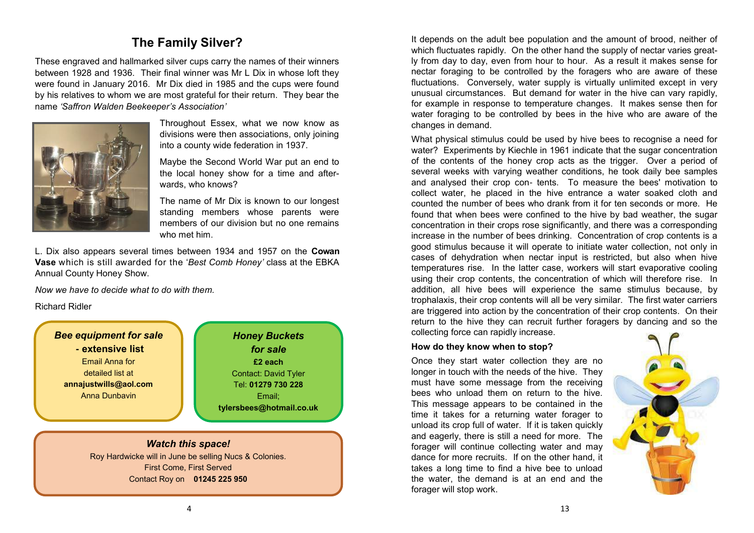## **The Family Silver?**

These engraved and hallmarked silver cups carry the names of their winners between 1928 and 1936. Their final winner was Mr L Dix in whose loft they were found in January 2016. Mr Dix died in 1985 and the cups were found by his relatives to whom we are most grateful for their return. They bear the name *'Saffron Walden Beekeeper's Association'* 



Throughout Essex, what we now know as divisions were then associations, only joining into a county wide federation in 1937.

Maybe the Second World War put an end to the local honey show for a time and afterwards, who knows?

The name of Mr Dix is known to our longest standing members whose parents were members of our division but no one remains who met him.

L. Dix also appears several times between 1934 and 1957 on the **Cowan Vase** which is still awarded for the '*Best Comb Honey'* class at the EBKA Annual County Honey Show.

*Now we have to decide what to do with them.*

Richard Ridler

*Bee equipment for sale* **- extensive list** Email Anna for detailed list at **annajustwills@aol.com** Anna Dunbavin

*Honey Buckets for sale* **£2 each** Contact: David Tyler Tel: **01279 730 228** Email; **tylersbees@hotmail.co.uk**

## *Watch this space!*

Roy Hardwicke will in June be selling Nucs & Colonies. First Come, First Served Contact Roy on **01245 225 950**

It depends on the adult bee population and the amount of brood, neither of which fluctuates rapidly. On the other hand the supply of nectar varies greatly from day to day, even from hour to hour. As a result it makes sense for nectar foraging to be controlled by the foragers who are aware of these fluctuations. Conversely, water supply is virtually unlimited except in very unusual circumstances. But demand for water in the hive can vary rapidly, for example in response to temperature changes. It makes sense then for water foraging to be controlled by bees in the hive who are aware of the changes in demand.

What physical stimulus could be used by hive bees to recognise a need for water? Experiments by Kiechle in 1961 indicate that the sugar concentration of the contents of the honey crop acts as the trigger. Over a period of several weeks with varying weather conditions, he took daily bee samples and analysed their crop con- tents. To measure the bees' motivation to collect water, he placed in the hive entrance a water soaked cloth and counted the number of bees who drank from it for ten seconds or more. He found that when bees were confined to the hive by bad weather, the sugar concentration in their crops rose significantly, and there was a corresponding increase in the number of bees drinking. Concentration of crop contents is a good stimulus because it will operate to initiate water collection, not only in cases of dehydration when nectar input is restricted, but also when hive temperatures rise. In the latter case, workers will start evaporative cooling using their crop contents, the concentration of which will therefore rise. In addition, all hive bees will experience the same stimulus because, by trophalaxis, their crop contents will all be very similar. The first water carriers are triggered into action by the concentration of their crop contents. On their return to the hive they can recruit further foragers by dancing and so the collecting force can rapidly increase.

#### **How do they know when to stop?**

Once they start water collection they are no longer in touch with the needs of the hive. They must have some message from the receiving bees who unload them on return to the hive. This message appears to be contained in the time it takes for a returning water forager to unload its crop full of water. If it is taken quickly and eagerly, there is still a need for more. The forager will continue collecting water and may dance for more recruits. If on the other hand, it takes a long time to find a hive bee to unload the water, the demand is at an end and the forager will stop work.

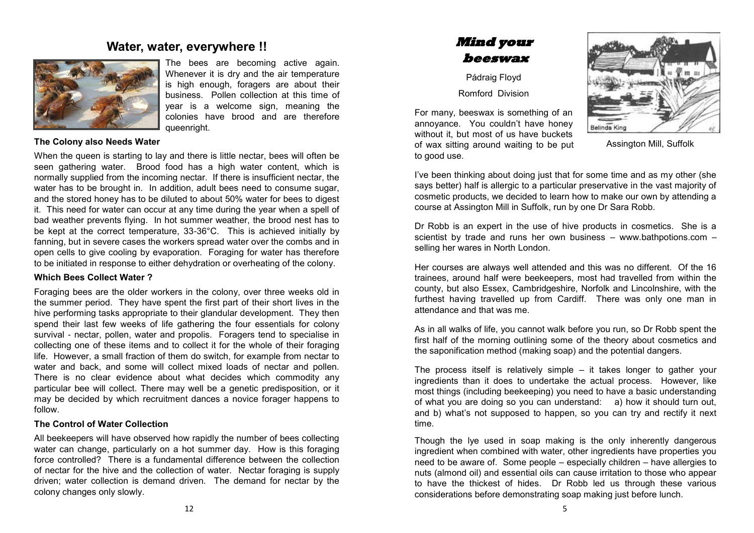## **Water, water, everywhere !!**



The bees are becoming active again. Whenever it is dry and the air temperature is high enough, foragers are about their business. Pollen collection at this time of year is a welcome sign, meaning the colonies have brood and are therefore queenright.

#### **The Colony also Needs Water**

When the queen is starting to lay and there is little nectar, bees will often be seen gathering water. Brood food has a high water content, which is normally supplied from the incoming nectar. If there is insufficient nectar, the water has to be brought in. In addition, adult bees need to consume sugar, and the stored honey has to be diluted to about 50% water for bees to digest it. This need for water can occur at any time during the year when a spell of bad weather prevents flying. In hot summer weather, the brood nest has to be kept at the correct temperature, 33-36°C. This is achieved initially by fanning, but in severe cases the workers spread water over the combs and in open cells to give cooling by evaporation. Foraging for water has therefore to be initiated in response to either dehydration or overheating of the colony.

#### **Which Bees Collect Water ?**

Foraging bees are the older workers in the colony, over three weeks old in the summer period. They have spent the first part of their short lives in the hive performing tasks appropriate to their glandular development. They then spend their last few weeks of life gathering the four essentials for colony survival - nectar, pollen, water and propolis. Foragers tend to specialise in collecting one of these items and to collect it for the whole of their foraging life. However, a small fraction of them do switch, for example from nectar to water and back, and some will collect mixed loads of nectar and pollen. There is no clear evidence about what decides which commodity any particular bee will collect. There may well be a genetic predisposition, or it may be decided by which recruitment dances a novice forager happens to follow.

#### **The Control of Water Collection**

All beekeepers will have observed how rapidly the number of bees collecting water can change, particularly on a hot summer day. How is this foraging force controlled? There is a fundamental difference between the collection of nectar for the hive and the collection of water. Nectar foraging is supply driven; water collection is demand driven. The demand for nectar by the colony changes only slowly.

## **Mind your beeswax**

Pádraig Floyd

Romford Division

For many, beeswax is something of an annoyance. You couldn't have honey without it, but most of us have buckets of wax sitting around waiting to be put to good use.



Assington Mill, Suffolk

I've been thinking about doing just that for some time and as my other (she says better) half is allergic to a particular preservative in the vast majority of cosmetic products, we decided to learn how to make our own by attending a course at Assington Mill in Suffolk, run by one Dr Sara Robb.

Dr Robb is an expert in the use of hive products in cosmetics. She is a scientist by trade and runs her own business – [www.bathpotions.com](http://www.bathpotions.com) – selling her wares in North London.

Her courses are always well attended and this was no different. Of the 16 trainees, around half were beekeepers, most had travelled from within the county, but also Essex, Cambridgeshire, Norfolk and Lincolnshire, with the furthest having travelled up from Cardiff. There was only one man in attendance and that was me.

As in all walks of life, you cannot walk before you run, so Dr Robb spent the first half of the morning outlining some of the theory about cosmetics and the saponification method (making soap) and the potential dangers.

The process itself is relatively simple – it takes longer to gather your ingredients than it does to undertake the actual process. However, like most things (including beekeeping) you need to have a basic understanding of what you are doing so you can understand: a) how it should turn out, and b) what's not supposed to happen, so you can try and rectify it next time.

Though the lye used in soap making is the only inherently dangerous ingredient when combined with water, other ingredients have properties you need to be aware of. Some people – especially children – have allergies to nuts (almond oil) and essential oils can cause irritation to those who appear to have the thickest of hides. Dr Robb led us through these various considerations before demonstrating soap making just before lunch.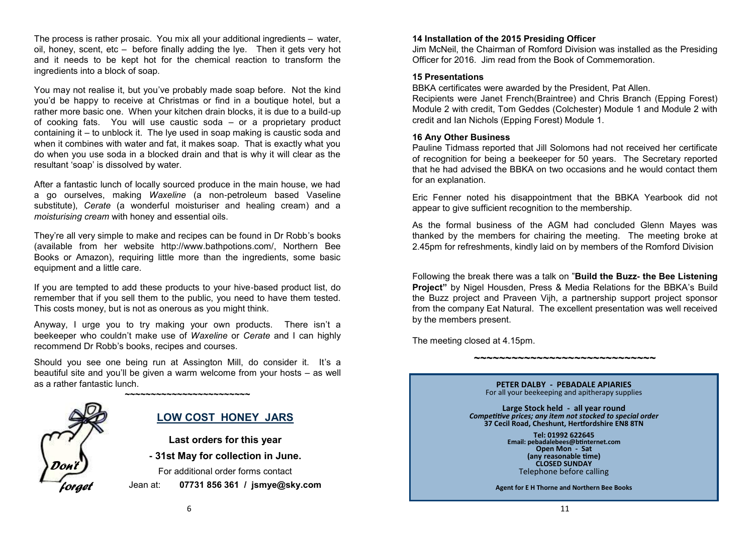The process is rather prosaic. You mix all your additional ingredients – water, oil, honey, scent, etc – before finally adding the lye. Then it gets very hot and it needs to be kept hot for the chemical reaction to transform the ingredients into a block of soap.

You may not realise it, but you've probably made soap before. Not the kind you'd be happy to receive at Christmas or find in a boutique hotel, but a rather more basic one. When your kitchen drain blocks, it is due to a build-up of cooking fats. You will use caustic soda – or a proprietary product containing it – to unblock it. The lye used in soap making is caustic soda and when it combines with water and fat, it makes soap. That is exactly what you do when you use soda in a blocked drain and that is why it will clear as the resultant 'soap' is dissolved by water.

After a fantastic lunch of locally sourced produce in the main house, we had a go ourselves, making *Waxeline* (a non-petroleum based Vaseline substitute), *Cerate* (a wonderful moisturiser and healing cream) and a *moisturising cream* with honey and essential oils.

They're all very simple to make and recipes can be found in Dr Robb's books (available from her website [http://www.bathpotions.com/,](http://www.bathpotions.com/) Northern Bee Books or Amazon), requiring little more than the ingredients, some basic equipment and a little care.

If you are tempted to add these products to your hive-based product list, do remember that if you sell them to the public, you need to have them tested. This costs money, but is not as onerous as you might think.

Anyway, I urge you to try making your own products. There isn't a beekeeper who couldn't make use of *Waxeline* or *Cerate* and I can highly recommend Dr Robb's books, recipes and courses.

Should you see one being run at Assington Mill, do consider it. It's a beautiful site and you'll be given a warm welcome from your hosts – as well as a rather fantastic lunch.

**~~~~~~~~~~~~~~~~~~~~~~~~**



## **LOW COST HONEY JARS**

**Last orders for this year** 

**- 31st May for collection in June.**

For additional order forms contact

Jean at: **07731 856 361 / jsmye@sky.com**

## **14 Installation of the 2015 Presiding Officer**

Jim McNeil, the Chairman of Romford Division was installed as the Presiding Officer for 2016. Jim read from the Book of Commemoration.

#### **15 Presentations**

BBKA certificates were awarded by the President, Pat Allen.

Recipients were Janet French(Braintree) and Chris Branch (Epping Forest) Module 2 with credit, Tom Geddes (Colchester) Module 1 and Module 2 with credit and Ian Nichols (Epping Forest) Module 1.

## **16 Any Other Business**

Pauline Tidmass reported that Jill Solomons had not received her certificate of recognition for being a beekeeper for 50 years. The Secretary reported that he had advised the BBKA on two occasions and he would contact them for an explanation.

Eric Fenner noted his disappointment that the BBKA Yearbook did not appear to give sufficient recognition to the membership.

As the formal business of the AGM had concluded Glenn Mayes was thanked by the members for chairing the meeting. The meeting broke at 2.45pm for refreshments, kindly laid on by members of the Romford Division

Following the break there was a talk on "**Build the Buzz- the Bee Listening Project"** by Nigel Housden, Press & Media Relations for the BBKA's Build the Buzz project and Praveen Vijh, a partnership support project sponsor from the company Eat Natural. The excellent presentation was well received by the members present.

**~~~~~~~~~~~~~~~~~~~~~~~~~~~~~**

The meeting closed at 4.15pm.

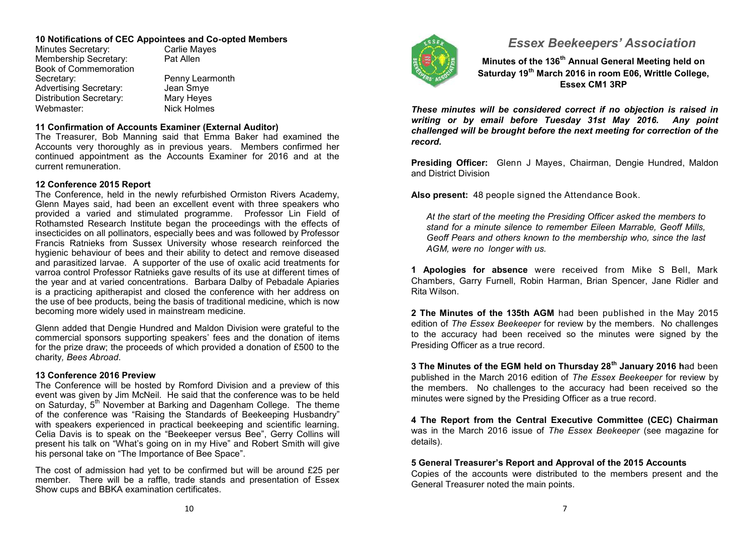#### **10 Notifications of CEC Appointees and Co-opted Members**

Minutes Secretary: Carlie Mayes<br>
Membership Secretary: Pat Allen Membership Secretary: Book of Commemoration Secretary: Penny Learmonth<br>
Advertising Secretary: Jean Smye Advertising Secretary: Jean Smye<br>
Distribution Secretary: Mary Heyes Distribution Secretary: Webmaster: Nick Holmes

## **11 Confirmation of Accounts Examiner (External Auditor)**

The Treasurer, Bob Manning said that Emma Baker had examined the Accounts very thoroughly as in previous years. Members confirmed her continued appointment as the Accounts Examiner for 2016 and at the current remuneration.

## **12 Conference 2015 Report**

The Conference, held in the newly refurbished Ormiston Rivers Academy, Glenn Mayes said, had been an excellent event with three speakers who provided a varied and stimulated programme. Professor Lin Field of Rothamsted Research Institute began the proceedings with the effects of insecticides on all pollinators, especially bees and was followed by Professor Francis Ratnieks from Sussex University whose research reinforced the hygienic behaviour of bees and their ability to detect and remove diseased and parasitized larvae. A supporter of the use of oxalic acid treatments for varroa control Professor Ratnieks gave results of its use at different times of the year and at varied concentrations. Barbara Dalby of Pebadale Apiaries is a practicing apitherapist and closed the conference with her address on the use of bee products, being the basis of traditional medicine, which is now becoming more widely used in mainstream medicine.

Glenn added that Dengie Hundred and Maldon Division were grateful to the commercial sponsors supporting speakers' fees and the donation of items for the prize draw; the proceeds of which provided a donation of £500 to the charity*, Bees Abroad*.

## **13 Conference 2016 Preview**

The Conference will be hosted by Romford Division and a preview of this event was given by Jim McNeil. He said that the conference was to be held on Saturday, 5<sup>th</sup> November at Barking and Dagenham College. The theme of the conference was "Raising the Standards of Beekeeping Husbandry" with speakers experienced in practical beekeeping and scientific learning. Celia Davis is to speak on the "Beekeeper versus Bee", Gerry Collins will present his talk on "What's going on in my Hive" and Robert Smith will give his personal take on "The Importance of Bee Space".

The cost of admission had yet to be confirmed but will be around £25 per member. There will be a raffle, trade stands and presentation of Essex Show cups and BBKA examination certificates.



## *Essex Beekeepers' Association*

**Minutes of the 136th Annual General Meeting held on Saturday 19th March 2016 in room E06, Writtle College, Essex CM1 3RP**

*These minutes will be considered correct if no objection is raised in writing or by email before Tuesday 31st May 2016. Any point challenged will be brought before the next meeting for correction of the record.*

**Presiding Officer:** Glenn J Mayes, Chairman, Dengie Hundred, Maldon and District Division

**Also present:** 48 people signed the Attendance Book.

*At the start of the meeting the Presiding Officer asked the members to stand for a minute silence to remember Eileen Marrable, Geoff Mills, Geoff Pears and others known to the membership who, since the last AGM, were no longer with us.*

**1 Apologies for absence** were received from Mike S Bell, Mark Chambers, Garry Furnell, Robin Harman, Brian Spencer, Jane Ridler and Rita Wilson.

**2 The Minutes of the 135th AGM** had been published in the May 2015 edition of *The Essex Beekeeper* for review by the members. No challenges to the accuracy had been received so the minutes were signed by the Presiding Officer as a true record.

**3 The Minutes of the EGM held on Thursday 28th January 2016 h**ad been published in the March 2016 edition of *The Essex Beekeeper* for review by the members. No challenges to the accuracy had been received so the minutes were signed by the Presiding Officer as a true record.

**4 The Report from the Central Executive Committee (CEC) Chairman**  was in the March 2016 issue of *The Essex Beekeeper* (see magazine for details).

## **5 General Treasurer's Report and Approval of the 2015 Accounts**

Copies of the accounts were distributed to the members present and the General Treasurer noted the main points.